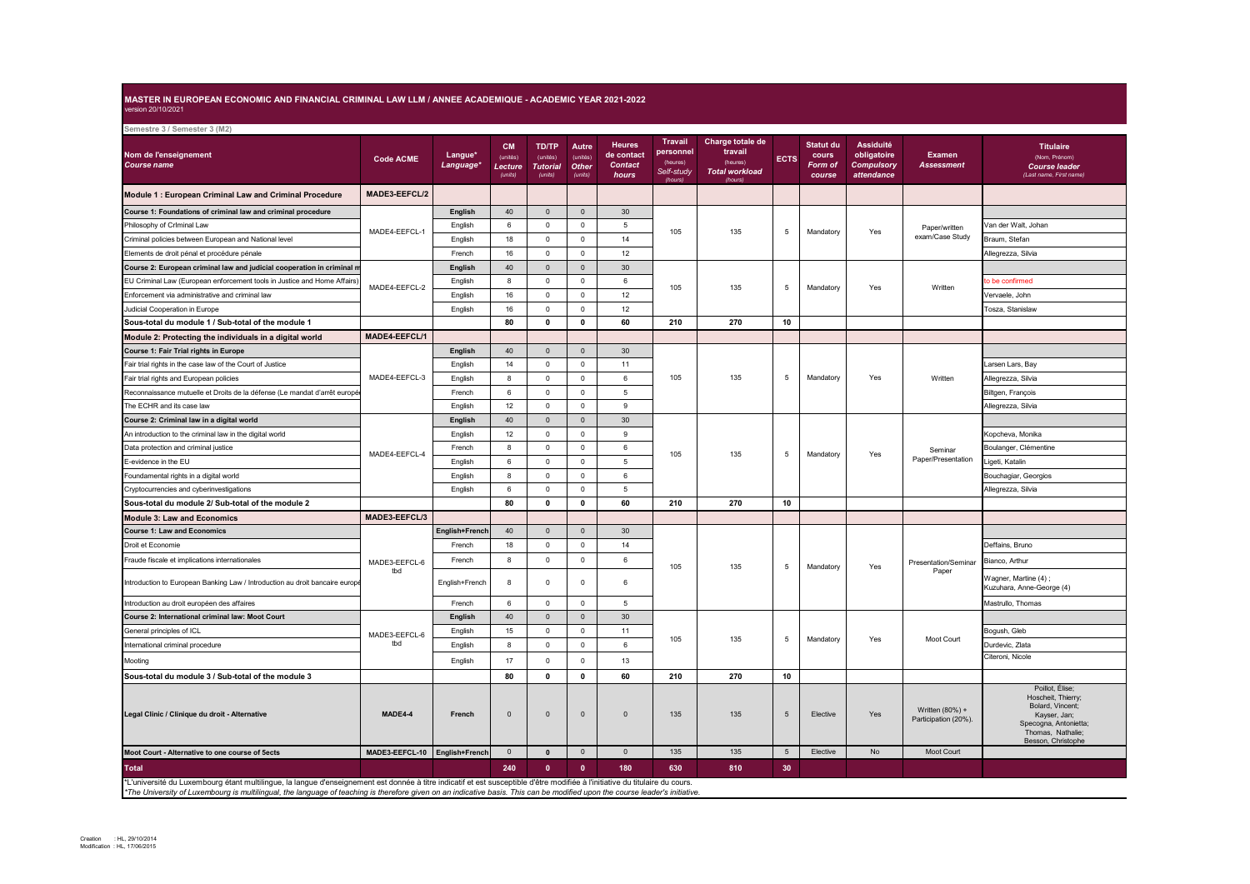## **MASTER IN EUROPEAN ECONOMIC AND FINANCIAL CRIMINAL LAW LLM / ANNEE ACADEMIQUE - ACADEMIC YEAR 2021-2022** version 20/10/2021

| Semestre 3 / Semester 3 (M2)                                                                                                                                                                                                                                                                                                                                  |                      |                                  |                                             |                                                        |                                       |                                                        |                                                                  |                                                                             |                 |                                                |                                                                    |                                         |                                                                                                                                               |
|---------------------------------------------------------------------------------------------------------------------------------------------------------------------------------------------------------------------------------------------------------------------------------------------------------------------------------------------------------------|----------------------|----------------------------------|---------------------------------------------|--------------------------------------------------------|---------------------------------------|--------------------------------------------------------|------------------------------------------------------------------|-----------------------------------------------------------------------------|-----------------|------------------------------------------------|--------------------------------------------------------------------|-----------------------------------------|-----------------------------------------------------------------------------------------------------------------------------------------------|
| Nom de l'enseignement<br>Course name                                                                                                                                                                                                                                                                                                                          | <b>Code ACME</b>     | Langue*<br>Language <sup>®</sup> | <b>CM</b><br>(unités)<br>Lecture<br>(units) | <b>TD/TP</b><br>(unités)<br><b>Tutorial</b><br>(units) | Autre<br>(unités)<br>Other<br>(units) | <b>Heures</b><br>de contact<br><b>Contact</b><br>hours | <b>Travail</b><br>personnel<br>(heures)<br>Self-study<br>(hours) | Charge totale de<br>travail<br>(heures)<br><b>Total workload</b><br>(hours) | <b>ECTS</b>     | <b>Statut du</b><br>cours<br>Form of<br>course | <b>Assiduité</b><br>obligatoire<br><b>Compulsory</b><br>attendance | <b>Examen</b><br><b>Assessment</b>      | <b>Titulaire</b><br>(Nom, Prénom)<br><b>Course leader</b><br>(Last name, First name)                                                          |
| Module 1 : European Criminal Law and Criminal Procedure                                                                                                                                                                                                                                                                                                       | MADE3-EEFCL/2        |                                  |                                             |                                                        |                                       |                                                        |                                                                  |                                                                             |                 |                                                |                                                                    |                                         |                                                                                                                                               |
| Course 1: Foundations of criminal law and criminal procedure                                                                                                                                                                                                                                                                                                  | MADE4-EEFCL-1        | English                          | 40                                          | $\mathsf 0$                                            | $\mathsf 0$                           | 30                                                     |                                                                  | 135                                                                         | 5               | Mandatory                                      | Yes                                                                | Paper/written<br>exam/Case Study        |                                                                                                                                               |
| Philosophy of Crlminal Law                                                                                                                                                                                                                                                                                                                                    |                      | English                          | 6                                           | $\mathbf 0$                                            | $\mathbf 0$                           | 5                                                      | 105                                                              |                                                                             |                 |                                                |                                                                    |                                         | /an der Walt, Johan                                                                                                                           |
| Criminal policies between European and National level                                                                                                                                                                                                                                                                                                         |                      | English                          | 18                                          | $\mathbf 0$                                            | $\mathsf 0$                           | 14                                                     |                                                                  |                                                                             |                 |                                                |                                                                    |                                         | Braum, Stefan                                                                                                                                 |
| Elements de droit pénal et procédure pénale                                                                                                                                                                                                                                                                                                                   |                      | French                           | 16                                          | $\mathsf 0$                                            | $\mathsf 0$                           | 12                                                     |                                                                  |                                                                             |                 |                                                |                                                                    |                                         | Allegrezza, Silvia                                                                                                                            |
| Course 2: European criminal law and judicial cooperation in criminal m                                                                                                                                                                                                                                                                                        | MADE4-EEFCL-2        | English                          | 40                                          | $\mathbf 0$                                            | $\overline{0}$                        | 30                                                     | 105                                                              | 135                                                                         | 5               | Mandatory                                      | Yes                                                                | Written                                 |                                                                                                                                               |
| EU Criminal Law (European enforcement tools in Justice and Home Affairs)                                                                                                                                                                                                                                                                                      |                      | English                          | 8                                           | $\mathbf 0$                                            | $\mathsf 0$                           | 6                                                      |                                                                  |                                                                             |                 |                                                |                                                                    |                                         | o be confirmed                                                                                                                                |
| Enforcement via administrative and criminal law                                                                                                                                                                                                                                                                                                               |                      | English                          | 16                                          | $\mathbf 0$                                            | $\mathbf 0$                           | 12                                                     |                                                                  |                                                                             |                 |                                                |                                                                    |                                         | Vervaele, John                                                                                                                                |
| Judicial Cooperation in Europe                                                                                                                                                                                                                                                                                                                                |                      | English                          | 16                                          | $\mathbf 0$                                            | $\mathsf 0$                           | 12                                                     |                                                                  |                                                                             |                 |                                                |                                                                    |                                         | Tosza, Stanislaw                                                                                                                              |
| Sous-total du module 1 / Sub-total of the module 1                                                                                                                                                                                                                                                                                                            |                      |                                  | 80                                          | $\mathbf 0$                                            | $\mathbf 0$                           | 60                                                     | 210                                                              | 270                                                                         | 10              |                                                |                                                                    |                                         |                                                                                                                                               |
| Module 2: Protecting the individuals in a digital world                                                                                                                                                                                                                                                                                                       | MADE4-EEFCL/1        |                                  |                                             |                                                        |                                       |                                                        |                                                                  |                                                                             |                 |                                                |                                                                    |                                         |                                                                                                                                               |
| Course 1: Fair Trial rights in Europe                                                                                                                                                                                                                                                                                                                         |                      | English                          | 40                                          | $\mathsf 0$                                            | $\mathsf 0$                           | 30                                                     | 105                                                              | 135                                                                         | 5               | Mandatory                                      | Yes                                                                | Written                                 |                                                                                                                                               |
| Fair trial rights in the case law of the Court of Justice                                                                                                                                                                                                                                                                                                     |                      | English                          | 14                                          | 0                                                      | $\mathbf 0$                           | 11                                                     |                                                                  |                                                                             |                 |                                                |                                                                    |                                         | arsen Lars, Bay                                                                                                                               |
| Fair trial rights and European policies                                                                                                                                                                                                                                                                                                                       | MADE4-EEFCL-3        | English                          | 8                                           | $\mathbf 0$                                            | $\mathbf 0$                           | 6                                                      |                                                                  |                                                                             |                 |                                                |                                                                    |                                         | Allegrezza, Silvia                                                                                                                            |
| Reconnaissance mutuelle et Droits de la défense (Le mandat d'arrêt europé                                                                                                                                                                                                                                                                                     |                      | French                           | $\,6\,$                                     | $\mathbf 0$                                            | $\mathsf 0$                           | $\overline{5}$                                         |                                                                  |                                                                             |                 |                                                |                                                                    |                                         | Biltgen, François                                                                                                                             |
| The ECHR and its case law                                                                                                                                                                                                                                                                                                                                     |                      | English                          | 12                                          | $\mathsf 0$                                            | $\circ$                               | 9                                                      |                                                                  |                                                                             |                 |                                                |                                                                    |                                         | Allegrezza, Silvia                                                                                                                            |
| Course 2: Criminal law in a digital world                                                                                                                                                                                                                                                                                                                     | MADE4-EEFCL-4        | English                          | 40                                          | $\mathsf 0$                                            | $\mathbf 0$                           | 30                                                     | 105                                                              | 135                                                                         | 5               | Mandatory                                      | Yes                                                                | Seminar<br>Paper/Presentation           |                                                                                                                                               |
| An introduction to the criminal law in the digital world                                                                                                                                                                                                                                                                                                      |                      | English                          | 12                                          | $\mathsf 0$                                            | $\mathbf 0$                           | 9                                                      |                                                                  |                                                                             |                 |                                                |                                                                    |                                         | Kopcheva, Monika                                                                                                                              |
| Data protection and criminal justice                                                                                                                                                                                                                                                                                                                          |                      | French                           | 8                                           | $\Omega$                                               | $\mathsf 0$                           | 6                                                      |                                                                  |                                                                             |                 |                                                |                                                                    |                                         | Boulanger, Clémentine                                                                                                                         |
| E-evidence in the EU                                                                                                                                                                                                                                                                                                                                          |                      | English                          | 6                                           | $\mathbf 0$                                            | $\mathbf 0$                           | 5                                                      |                                                                  |                                                                             |                 |                                                |                                                                    |                                         | igeti, Katalin                                                                                                                                |
| Foundamental rights in a digital world                                                                                                                                                                                                                                                                                                                        |                      | English                          | 8                                           | $\Omega$                                               | $\mathbf 0$                           | 6                                                      |                                                                  |                                                                             |                 |                                                |                                                                    |                                         | Bouchagiar, Georgios                                                                                                                          |
| Cryptocurrencies and cyberinvestigations                                                                                                                                                                                                                                                                                                                      |                      | English                          | 6                                           | 0                                                      | $\mathsf 0$                           | 5                                                      |                                                                  |                                                                             |                 |                                                |                                                                    |                                         | Allegrezza, Silvia                                                                                                                            |
| Sous-total du module 2/ Sub-total of the module 2                                                                                                                                                                                                                                                                                                             |                      |                                  | 80                                          | $\mathbf 0$                                            | $\mathbf 0$                           | 60                                                     | 210                                                              | 270                                                                         | 10              |                                                |                                                                    |                                         |                                                                                                                                               |
| <b>Module 3: Law and Economics</b>                                                                                                                                                                                                                                                                                                                            | MADE3-EEFCL/3        |                                  |                                             |                                                        |                                       |                                                        |                                                                  |                                                                             |                 |                                                |                                                                    |                                         |                                                                                                                                               |
| <b>Course 1: Law and Economics</b>                                                                                                                                                                                                                                                                                                                            |                      | English+French                   | 40                                          | $\mathbf 0$                                            | $\overline{0}$                        | 30                                                     | 105                                                              | 135                                                                         | 5               | Mandatory                                      | Yes                                                                | Presentation/Seminar<br>Paper           |                                                                                                                                               |
| Droit et Economie                                                                                                                                                                                                                                                                                                                                             | MADE3-EEFCL-6<br>tbd | French                           | 18                                          | $\mathbf 0$                                            | $\circ$                               | 14                                                     |                                                                  |                                                                             |                 |                                                |                                                                    |                                         | Deffains, Bruno                                                                                                                               |
| Fraude fiscale et implications internationales                                                                                                                                                                                                                                                                                                                |                      | French                           | 8                                           | $\mathbf 0$                                            | $\mathsf 0$                           | 6                                                      |                                                                  |                                                                             |                 |                                                |                                                                    |                                         | Bianco, Arthur                                                                                                                                |
| Introduction to European Banking Law / Introduction au droit bancaire europe                                                                                                                                                                                                                                                                                  |                      | English+French                   | 8                                           | $\Omega$                                               | $\mathbf 0$                           | 6                                                      |                                                                  |                                                                             |                 |                                                |                                                                    |                                         | Wagner, Martine (4);<br>Kuzuhara, Anne-George (4)                                                                                             |
| Introduction au droit européen des affaires                                                                                                                                                                                                                                                                                                                   |                      | French                           | 6                                           | $\Omega$                                               | $\mathbf 0$                           | $\overline{5}$                                         |                                                                  |                                                                             |                 |                                                |                                                                    |                                         | Mastrullo, Thomas                                                                                                                             |
| Course 2: International criminal law: Moot Court                                                                                                                                                                                                                                                                                                              |                      | English                          | 40                                          | $\mathsf 0$                                            | $\mathsf 0$                           | 30                                                     | 105                                                              | 135                                                                         | 5               | Mandatory                                      | Yes                                                                | Moot Court                              |                                                                                                                                               |
| General principles of ICL                                                                                                                                                                                                                                                                                                                                     | MADE3-EEFCL-6<br>tbd | English                          | 15                                          | $\mathbf 0$                                            | $\mathbf 0$                           | 11                                                     |                                                                  |                                                                             |                 |                                                |                                                                    |                                         | Bogush, Gleb                                                                                                                                  |
| International criminal procedure                                                                                                                                                                                                                                                                                                                              |                      | English                          | 8                                           | $\mathbf 0$                                            | $\mathbf 0$                           | 6                                                      |                                                                  |                                                                             |                 |                                                |                                                                    |                                         | Durdevic, Zlata                                                                                                                               |
| Mooting                                                                                                                                                                                                                                                                                                                                                       |                      | English                          | 17                                          | $\mathsf 0$                                            | $\mathbf 0$                           | 13                                                     |                                                                  |                                                                             |                 |                                                |                                                                    |                                         | Citeroni, Nicole                                                                                                                              |
| Sous-total du module 3 / Sub-total of the module 3                                                                                                                                                                                                                                                                                                            |                      |                                  | 80                                          | $\Omega$                                               | $\pmb{0}$                             | 60                                                     | 210                                                              | 270                                                                         | 10              |                                                |                                                                    |                                         |                                                                                                                                               |
| Legal Clinic / Clinique du droit - Alternative                                                                                                                                                                                                                                                                                                                | MADE4-4              | French                           | $\mathbf{0}$                                | $\mathbf 0$                                            | $\mathsf 0$                           | $\mathbb O$                                            | 135                                                              | 135                                                                         | 5               | Elective                                       | Yes                                                                | Written (80%) +<br>Participation (20%). | Poillot, Élise;<br>Hoscheit, Thierry;<br>Bolard, Vincent;<br>Kayser, Jan;<br>Specogna, Antonietta;<br>Thomas, Nathalie;<br>Besson, Christophe |
| Moot Court - Alternative to one course of 5ects                                                                                                                                                                                                                                                                                                               | MADE3-EEFCL-10       | English+French                   | $\mathbf{0}$                                | $\pmb{0}$                                              | $\mathsf 0$                           | $\mathbf{0}$                                           | 135                                                              | 135                                                                         | $5\phantom{.0}$ | Elective                                       | No                                                                 | Moot Court                              |                                                                                                                                               |
| <b>Total</b>                                                                                                                                                                                                                                                                                                                                                  |                      |                                  | 240                                         | $\mathbf{0}$                                           | $\mathbf{0}$                          | 180                                                    | 630                                                              | 810                                                                         | 30              |                                                |                                                                    |                                         |                                                                                                                                               |
| *L'université du Luxembourg étant multilingue, la langue d'enseignement est donnée à titre indicatif et est susceptible d'être modifiée à l'initiative du titulaire du cours.<br>*The University of Luxembourg is multilingual, the language of teaching is therefore given on an indicative basis. This can be modified upon the course leader's initiative. |                      |                                  |                                             |                                                        |                                       |                                                        |                                                                  |                                                                             |                 |                                                |                                                                    |                                         |                                                                                                                                               |